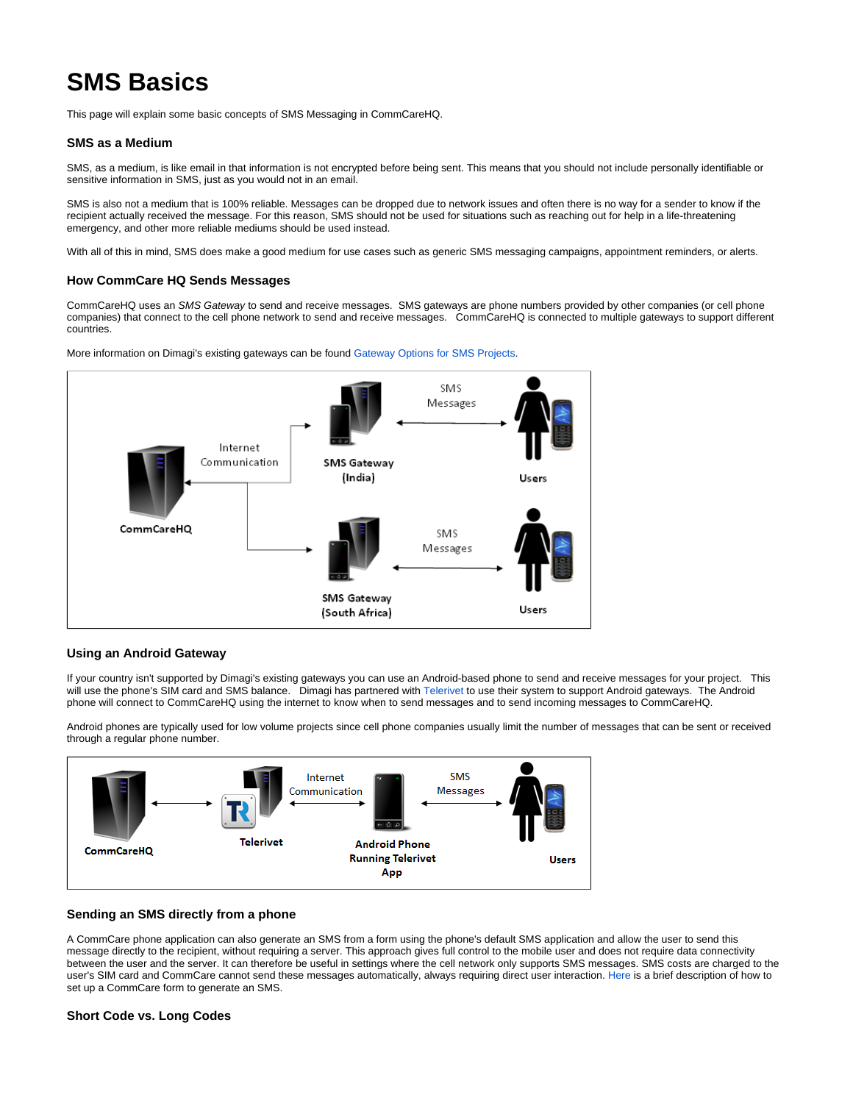# **SMS Basics**

This page will explain some basic concepts of SMS Messaging in CommCareHQ.

#### **SMS as a Medium**

SMS, as a medium, is like email in that information is not encrypted before being sent. This means that you should not include personally identifiable or sensitive information in SMS, just as you would not in an email.

SMS is also not a medium that is 100% reliable. Messages can be dropped due to network issues and often there is no way for a sender to know if the recipient actually received the message. For this reason, SMS should not be used for situations such as reaching out for help in a life-threatening emergency, and other more reliable mediums should be used instead.

With all of this in mind, SMS does make a good medium for use cases such as generic SMS messaging campaigns, appointment reminders, or alerts.

#### **How CommCare HQ Sends Messages**

CommCareHQ uses an SMS Gateway to send and receive messages. SMS gateways are phone numbers provided by other companies (or cell phone companies) that connect to the cell phone network to send and receive messages. CommCareHQ is connected to multiple gateways to support different countries.





### **Using an Android Gateway**

If your country isn't supported by Dimagi's existing gateways you can use an Android-based phone to send and receive messages for your project. This will use the phone's SIM card and SMS balance. Dimagi has partnered with [Telerivet](https://telerivet.com/) to use their system to support Android gateways. The Android phone will connect to CommCareHQ using the internet to know when to send messages and to send incoming messages to CommCareHQ.

Android phones are typically used for low volume projects since cell phone companies usually limit the number of messages that can be sent or received through a regular phone number.



#### **Sending an SMS directly from a phone**

A CommCare phone application can also generate an SMS from a form using the phone's default SMS application and allow the user to send this message directly to the recipient, without requiring a server. This approach gives full control to the mobile user and does not require data connectivity between the user and the server. It can therefore be useful in settings where the cell network only supports SMS messages. SMS costs are charged to the user's SIM card and CommCare cannot send these messages automatically, always requiring direct user interaction. [Here](https://confluence.dimagi.com/display/commcarepublic/Sending+an+SMS+directly+from+a+CommCare+form) is a brief description of how to set up a CommCare form to generate an SMS.

#### **Short Code vs. Long Codes**